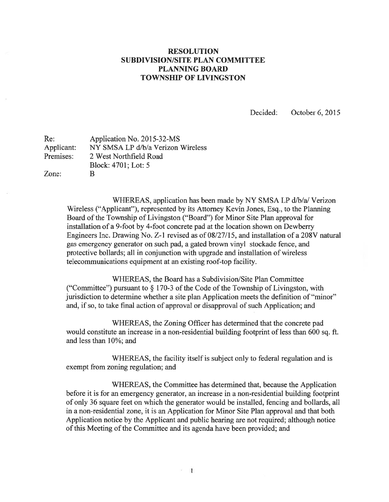## RESOLUTION SUBDIVISION/SITE PLAN COMMITTEE PLANNING BOARD TOWNSHIP OF LIVINGSTON

Decided: October 6, 2015

| Re:        | Application No. 2015-32-MS        |
|------------|-----------------------------------|
| Applicant: | NY SMSA LP d/b/a Verizon Wireless |
| Premises:  | 2 West Northfield Road            |
|            | Block: 4701; Lot: 5               |
| Zone:      | B                                 |

WHEREAS, application has been made by NY SMSA LP d/b/a/ Verizon Wireless ("Applicant"), represented by its Attorney Kevin Jones, Esq., to the Planning Board of the Township of Livingston ("Board") for Minor Site Plan approval for installation of <sup>a</sup> 9-foot by 4-foot concrete pad at the location shown on Dewberry Engineers Inc. Drawing No. Z-1 revised as of 08/27/15, and installation of a 208V natural gas emergency generator on such pad, <sup>a</sup> gated brown vinyl stockade fence, and protective bollards; all in conjunction with upgrade and installation of wireless telecommunications equipment at an existing roof-top facility.

WHEREAS, the Board has a Subdivision/Site Plan Committee ("Committee") pursuan<sup>t</sup> to § 170-3 of the Code of the Township of Livingston, with jurisdiction to determine whether <sup>a</sup> site plan Application meets the definition of "minor" and, if so, to take final action of approval or disapproval of such Application; and

WHEREAS, the Zoning Officer has determined that the concrete pad would constitute an increase in <sup>a</sup> non-residential building footprint of less than 600 sq. ft. and less than 10%; and

WHEREAS, the facility itself is subject only to federal regulation and is exemp<sup>t</sup> from zoning regulation; and

WHEREAS, the Committee has determined that, because the Application before it is for an emergency generator, an increase in <sup>a</sup> non-residential building footprint of only 36 square feet on which the generator would be installed, fencing and bollards, all in <sup>a</sup> non-residential zone, it is an Application for Minor Site Plan approval and that both Application notice by the Applicant and public hearing are not required; although notice of this Meeting of the Committee and its agenda have been provided; and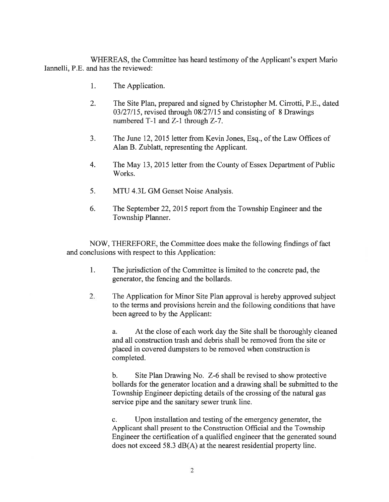WHEREAS, the Committee has heard testimony of the Applicant's exper<sup>t</sup> Mario lannelli, P.E. and has the reviewed:

- 1. The Application.
- 2. The Site Plan, prepared and signed by Christopher M. Cirrotti, P.E., dated 03/27/15, revised through 08/27/15 and consisting of 8 Drawings numbered T-l and Z-l through Z-7.
- 3. The June 12, 2015 letter from Kevin Jones, Esq., ofthe Law Offices of Alan B. Zublatt, representing the Applicant.
- 4. The May 13, 2015 letter from the County of Essex Department of Public Works.
- 5. MTU 4.3L GM Genset Noise Analysis.
- 6. The September 22, 2015 repor<sup>t</sup> from the Township Engineer and the Township Planner.

NOW, THEREFORE, the Committee does make the following findings of fact and conclusions with respec<sup>t</sup> to this Application:

- 1. The jurisdiction of the Committee is limited to the concrete pad, the generator, the fencing and the bollards.
- 2. The Application for Minor Site Plan approval is hereby approved subject to the terms and provisions herein and the following conditions that have been agreed to by the Applicant:

a. At the close of each work day the Site shall be thoroughly cleaned and all construction trash and debris shall be removed from the site or placed in covered dumpsters to be removed when construction is completed.

b. Site Plan Drawing No. Z-6 shall be revised to show protective bollards for the generator location and <sup>a</sup> drawing shall be submitted to the Township Engineer depicting details of the crossing of the natural gas service pipe and the sanitary sewer trunk line.

c. Upon installation and testing of the emergency generator, the Applicant shall presen<sup>t</sup> to the Construction Official and the Township Engineer the certification of <sup>a</sup> qualified engineer that the generated sound does not exceed 58.3 dB(A) at the nearest residential property line.